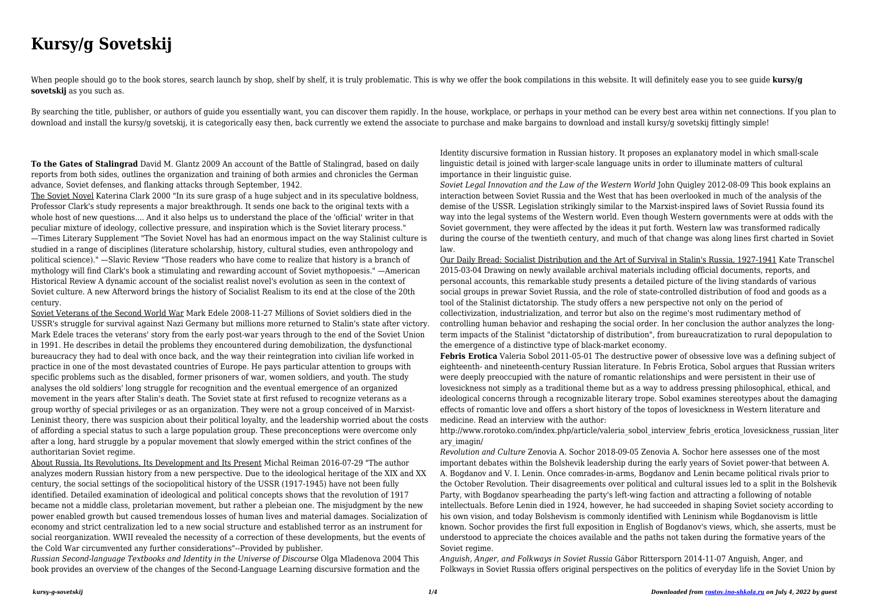## **Kursy/g Sovetskij**

When people should go to the book stores, search launch by shop, shelf by shelf, it is truly problematic. This is why we offer the book compilations in this website. It will definitely ease you to see quide **kursy/g sovetskij** as you such as.

By searching the title, publisher, or authors of quide you essentially want, you can discover them rapidly. In the house, workplace, or perhaps in your method can be every best area within net connections. If you plan to download and install the kursy/g sovetskij, it is categorically easy then, back currently we extend the associate to purchase and make bargains to download and install kursy/g sovetskij fittingly simple!

**To the Gates of Stalingrad** David M. Glantz 2009 An account of the Battle of Stalingrad, based on daily reports from both sides, outlines the organization and training of both armies and chronicles the German advance, Soviet defenses, and flanking attacks through September, 1942.

The Soviet Novel Katerina Clark 2000 "In its sure grasp of a huge subject and in its speculative boldness, Professor Clark's study represents a major breakthrough. It sends one back to the original texts with a whole host of new questions.... And it also helps us to understand the place of the 'official' writer in that peculiar mixture of ideology, collective pressure, and inspiration which is the Soviet literary process." —Times Literary Supplement "The Soviet Novel has had an enormous impact on the way Stalinist culture is studied in a range of disciplines (literature scholarship, history, cultural studies, even anthropology and political science)." —Slavic Review "Those readers who have come to realize that history is a branch of mythology will find Clark's book a stimulating and rewarding account of Soviet mythopoesis." —American Historical Review A dynamic account of the socialist realist novel's evolution as seen in the context of Soviet culture. A new Afterword brings the history of Socialist Realism to its end at the close of the 20th century.

Soviet Veterans of the Second World War Mark Edele 2008-11-27 Millions of Soviet soldiers died in the USSR's struggle for survival against Nazi Germany but millions more returned to Stalin's state after victory. Mark Edele traces the veterans' story from the early post-war years through to the end of the Soviet Union in 1991. He describes in detail the problems they encountered during demobilization, the dysfunctional bureaucracy they had to deal with once back, and the way their reintegration into civilian life worked in practice in one of the most devastated countries of Europe. He pays particular attention to groups with specific problems such as the disabled, former prisoners of war, women soldiers, and youth. The study analyses the old soldiers' long struggle for recognition and the eventual emergence of an organized movement in the years after Stalin's death. The Soviet state at first refused to recognize veterans as a group worthy of special privileges or as an organization. They were not a group conceived of in Marxist-Leninist theory, there was suspicion about their political loyalty, and the leadership worried about the costs of affording a special status to such a large population group. These preconceptions were overcome only after a long, hard struggle by a popular movement that slowly emerged within the strict confines of the authoritarian Soviet regime.

*Revolution and Culture* Zenovia A. Sochor 2018-09-05 Zenovia A. Sochor here assesses one of the most important debates within the Bolshevik leadership during the early years of Soviet power-that between A. A. Bogdanov and V. I. Lenin. Once comrades-in-arms, Bogdanov and Lenin became political rivals prior to the October Revolution. Their disagreements over political and cultural issues led to a split in the Bolshevik Party, with Bogdanov spearheading the party's left-wing faction and attracting a following of notable intellectuals. Before Lenin died in 1924, however, he had succeeded in shaping Soviet society according to his own vision, and today Bolshevism is commonly identified with Leninism while Bogdanovism is little known. Sochor provides the first full exposition in English of Bogdanov's views, which, she asserts, must be understood to appreciate the choices available and the paths not taken during the formative years of the Soviet regime.

About Russia, Its Revolutions, Its Development and Its Present Michal Reiman 2016-07-29 "The author analyzes modern Russian history from a new perspective. Due to the ideological heritage of the XIX and XX century, the social settings of the sociopolitical history of the USSR (1917-1945) have not been fully identified. Detailed examination of ideological and political concepts shows that the revolution of 1917 became not a middle class, proletarian movement, but rather a plebeian one. The misjudgment by the new power enabled growth but caused tremendous losses of human lives and material damages. Socialization of economy and strict centralization led to a new social structure and established terror as an instrument for social reorganization. WWII revealed the necessity of a correction of these developments, but the events of the Cold War circumvented any further considerations"--Provided by publisher.

*Russian Second-language Textbooks and Identity in the Universe of Discourse* Olga Mladenova 2004 This book provides an overview of the changes of the Second-Language Learning discursive formation and the Identity discursive formation in Russian history. It proposes an explanatory model in which small-scale linguistic detail is joined with larger-scale language units in order to illuminate matters of cultural importance in their linguistic guise.

*Soviet Legal Innovation and the Law of the Western World* John Quigley 2012-08-09 This book explains an interaction between Soviet Russia and the West that has been overlooked in much of the analysis of the demise of the USSR. Legislation strikingly similar to the Marxist-inspired laws of Soviet Russia found its way into the legal systems of the Western world. Even though Western governments were at odds with the Soviet government, they were affected by the ideas it put forth. Western law was transformed radically during the course of the twentieth century, and much of that change was along lines first charted in Soviet law.

Our Daily Bread: Socialist Distribution and the Art of Survival in Stalin's Russia, 1927-1941 Kate Transchel 2015-03-04 Drawing on newly available archival materials including official documents, reports, and personal accounts, this remarkable study presents a detailed picture of the living standards of various social groups in prewar Soviet Russia, and the role of state-controlled distribution of food and goods as a tool of the Stalinist dictatorship. The study offers a new perspective not only on the period of collectivization, industrialization, and terror but also on the regime's most rudimentary method of controlling human behavior and reshaping the social order. In her conclusion the author analyzes the longterm impacts of the Stalinist "dictatorship of distribution", from bureaucratization to rural depopulation to the emergence of a distinctive type of black-market economy. **Febris Erotica** Valeria Sobol 2011-05-01 The destructive power of obsessive love was a defining subject of eighteenth- and nineteenth-century Russian literature. In Febris Erotica, Sobol argues that Russian writers were deeply preoccupied with the nature of romantic relationships and were persistent in their use of lovesickness not simply as a traditional theme but as a way to address pressing philosophical, ethical, and ideological concerns through a recognizable literary trope. Sobol examines stereotypes about the damaging effects of romantic love and offers a short history of the topos of lovesickness in Western literature and medicine. Read an interview with the author:

http://www.rorotoko.com/index.php/article/valeria\_sobol\_interview\_febris\_erotica\_lovesickness\_russian\_liter ary imagin/

*Anguish, Anger, and Folkways in Soviet Russia* Gábor Rittersporn 2014-11-07 Anguish, Anger, and Folkways in Soviet Russia offers original perspectives on the politics of everyday life in the Soviet Union by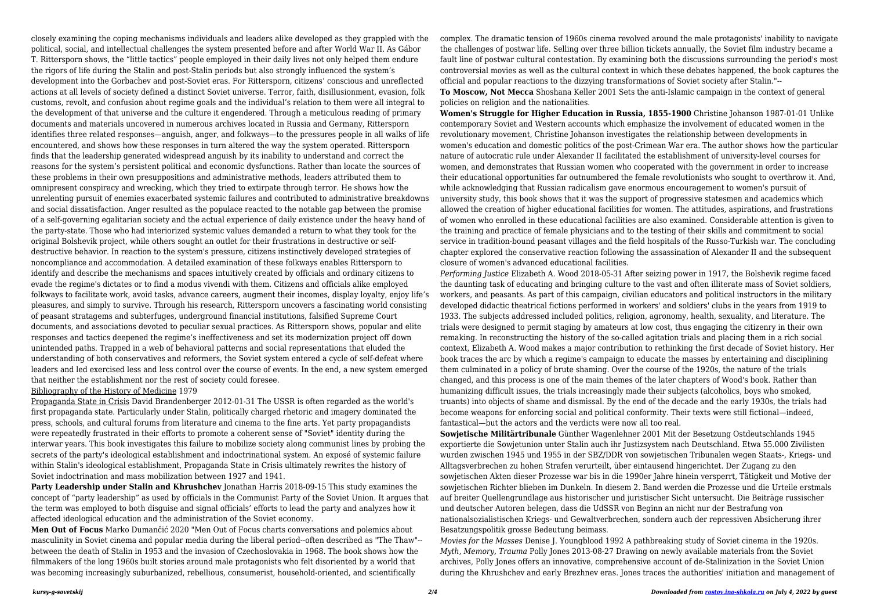closely examining the coping mechanisms individuals and leaders alike developed as they grappled with the political, social, and intellectual challenges the system presented before and after World War II. As Gábor T. Rittersporn shows, the "little tactics" people employed in their daily lives not only helped them endure the rigors of life during the Stalin and post-Stalin periods but also strongly influenced the system's development into the Gorbachev and post-Soviet eras. For Rittersporn, citizens' conscious and unreflected actions at all levels of society defined a distinct Soviet universe. Terror, faith, disillusionment, evasion, folk customs, revolt, and confusion about regime goals and the individual's relation to them were all integral to the development of that universe and the culture it engendered. Through a meticulous reading of primary documents and materials uncovered in numerous archives located in Russia and Germany, Rittersporn identifies three related responses—anguish, anger, and folkways—to the pressures people in all walks of life encountered, and shows how these responses in turn altered the way the system operated. Rittersporn finds that the leadership generated widespread anguish by its inability to understand and correct the reasons for the system's persistent political and economic dysfunctions. Rather than locate the sources of these problems in their own presuppositions and administrative methods, leaders attributed them to omnipresent conspiracy and wrecking, which they tried to extirpate through terror. He shows how the unrelenting pursuit of enemies exacerbated systemic failures and contributed to administrative breakdowns and social dissatisfaction. Anger resulted as the populace reacted to the notable gap between the promise of a self-governing egalitarian society and the actual experience of daily existence under the heavy hand of the party-state. Those who had interiorized systemic values demanded a return to what they took for the original Bolshevik project, while others sought an outlet for their frustrations in destructive or selfdestructive behavior. In reaction to the system's pressure, citizens instinctively developed strategies of noncompliance and accommodation. A detailed examination of these folkways enables Rittersporn to identify and describe the mechanisms and spaces intuitively created by officials and ordinary citizens to evade the regime's dictates or to find a modus vivendi with them. Citizens and officials alike employed folkways to facilitate work, avoid tasks, advance careers, augment their incomes, display loyalty, enjoy life's pleasures, and simply to survive. Through his research, Rittersporn uncovers a fascinating world consisting of peasant stratagems and subterfuges, underground financial institutions, falsified Supreme Court documents, and associations devoted to peculiar sexual practices. As Rittersporn shows, popular and elite responses and tactics deepened the regime's ineffectiveness and set its modernization project off down unintended paths. Trapped in a web of behavioral patterns and social representations that eluded the understanding of both conservatives and reformers, the Soviet system entered a cycle of self-defeat where leaders and led exercised less and less control over the course of events. In the end, a new system emerged that neither the establishment nor the rest of society could foresee.

**Party Leadership under Stalin and Khrushchev** Jonathan Harris 2018-09-15 This study examines the concept of "party leadership" as used by officials in the Communist Party of the Soviet Union. It argues that the term was employed to both disguise and signal officials' efforts to lead the party and analyzes how it affected ideological education and the administration of the Soviet economy.

## Bibliography of the History of Medicine 1979

Propaganda State in Crisis David Brandenberger 2012-01-31 The USSR is often regarded as the world's first propaganda state. Particularly under Stalin, politically charged rhetoric and imagery dominated the press, schools, and cultural forums from literature and cinema to the fine arts. Yet party propagandists were repeatedly frustrated in their efforts to promote a coherent sense of "Soviet" identity during the interwar years. This book investigates this failure to mobilize society along communist lines by probing the secrets of the party's ideological establishment and indoctrinational system. An exposé of systemic failure within Stalin's ideological establishment, Propaganda State in Crisis ultimately rewrites the history of Soviet indoctrination and mass mobilization between 1927 and 1941.

**Men Out of Focus** Marko Dumančić 2020 "Men Out of Focus charts conversations and polemics about masculinity in Soviet cinema and popular media during the liberal period--often described as "The Thaw"- between the death of Stalin in 1953 and the invasion of Czechoslovakia in 1968. The book shows how the filmmakers of the long 1960s built stories around male protagonists who felt disoriented by a world that was becoming increasingly suburbanized, rebellious, consumerist, household-oriented, and scientifically

complex. The dramatic tension of 1960s cinema revolved around the male protagonists' inability to navigate the challenges of postwar life. Selling over three billion tickets annually, the Soviet film industry became a fault line of postwar cultural contestation. By examining both the discussions surrounding the period's most controversial movies as well as the cultural context in which these debates happened, the book captures the official and popular reactions to the dizzying transformations of Soviet society after Stalin."-- **To Moscow, Not Mecca** Shoshana Keller 2001 Sets the anti-Islamic campaign in the context of general policies on religion and the nationalities.

**Women's Struggle for Higher Education in Russia, 1855-1900** Christine Johanson 1987-01-01 Unlike contemporary Soviet and Western accounts which emphasize the involvement of educated women in the revolutionary movement, Christine Johanson investigates the relationship between developments in women's education and domestic politics of the post-Crimean War era. The author shows how the particular nature of autocratic rule under Alexander II facilitated the establishment of university-level courses for women, and demonstrates that Russian women who cooperated with the government in order to increase their educational opportunities far outnumbered the female revolutionists who sought to overthrow it. And, while acknowledging that Russian radicalism gave enormous encouragement to women's pursuit of university study, this book shows that it was the support of progressive statesmen and academics which allowed the creation of higher educational facilities for women. The attitudes, aspirations, and frustrations of women who enrolled in these educational facilities are also examined. Considerable attention is given to the training and practice of female physicians and to the testing of their skills and commitment to social service in tradition-bound peasant villages and the field hospitals of the Russo-Turkish war. The concluding chapter explored the conservative reaction following the assassination of Alexander II and the subsequent closure of women's advanced educational facilities.

*Performing Justice* Elizabeth A. Wood 2018-05-31 After seizing power in 1917, the Bolshevik regime faced the daunting task of educating and bringing culture to the vast and often illiterate mass of Soviet soldiers, workers, and peasants. As part of this campaign, civilian educators and political instructors in the military developed didactic theatrical fictions performed in workers' and soldiers' clubs in the years from 1919 to 1933. The subjects addressed included politics, religion, agronomy, health, sexuality, and literature. The trials were designed to permit staging by amateurs at low cost, thus engaging the citizenry in their own remaking. In reconstructing the history of the so-called agitation trials and placing them in a rich social context, Elizabeth A. Wood makes a major contribution to rethinking the first decade of Soviet history. Her book traces the arc by which a regime's campaign to educate the masses by entertaining and disciplining them culminated in a policy of brute shaming. Over the course of the 1920s, the nature of the trials changed, and this process is one of the main themes of the later chapters of Wood's book. Rather than humanizing difficult issues, the trials increasingly made their subjects (alcoholics, boys who smoked, truants) into objects of shame and dismissal. By the end of the decade and the early 1930s, the trials had become weapons for enforcing social and political conformity. Their texts were still fictional—indeed, fantastical—but the actors and the verdicts were now all too real. **Sowjetische Militärtribunale** Günther Wagenlehner 2001 Mit der Besetzung Ostdeutschlands 1945 exportierte die Sowjetunion unter Stalin auch ihr Justizsystem nach Deutschland. Etwa 55.000 Zivilisten wurden zwischen 1945 und 1955 in der SBZ/DDR von sowjetischen Tribunalen wegen Staats-, Kriegs- und Alltagsverbrechen zu hohen Strafen verurteilt, über eintausend hingerichtet. Der Zugang zu den sowjetischen Akten dieser Prozesse war bis in die 1990er Jahre hinein versperrt, Tätigkeit und Motive der sowjetischen Richter blieben im Dunkeln. In diesem 2. Band werden die Prozesse und die Urteile erstmals auf breiter Quellengrundlage aus historischer und juristischer Sicht untersucht. Die Beiträge russischer und deutscher Autoren belegen, dass die UdSSR von Beginn an nicht nur der Bestrafung von nationalsozialistischen Kriegs- und Gewaltverbrechen, sondern auch der repressiven Absicherung ihrer Besatzungspolitik grosse Bedeutung beimass.

*Movies for the Masses* Denise J. Youngblood 1992 A pathbreaking study of Soviet cinema in the 1920s. *Myth, Memory, Trauma* Polly Jones 2013-08-27 Drawing on newly available materials from the Soviet archives, Polly Jones offers an innovative, comprehensive account of de-Stalinization in the Soviet Union during the Khrushchev and early Brezhnev eras. Jones traces the authorities' initiation and management of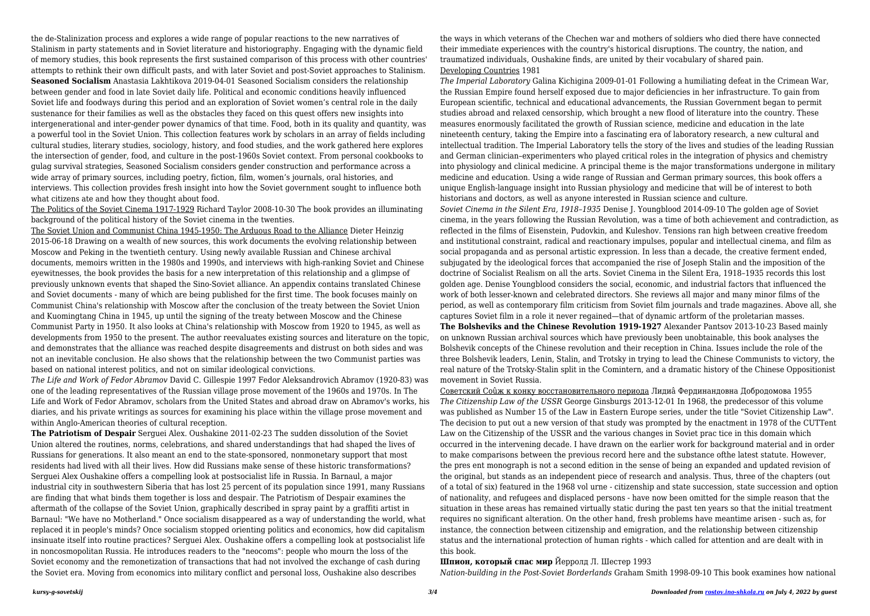the de-Stalinization process and explores a wide range of popular reactions to the new narratives of Stalinism in party statements and in Soviet literature and historiography. Engaging with the dynamic field of memory studies, this book represents the first sustained comparison of this process with other countries' attempts to rethink their own difficult pasts, and with later Soviet and post-Soviet approaches to Stalinism. **Seasoned Socialism** Anastasia Lakhtikova 2019-04-01 Seasoned Socialism considers the relationship between gender and food in late Soviet daily life. Political and economic conditions heavily influenced Soviet life and foodways during this period and an exploration of Soviet women's central role in the daily sustenance for their families as well as the obstacles they faced on this quest offers new insights into intergenerational and inter-gender power dynamics of that time. Food, both in its quality and quantity, was a powerful tool in the Soviet Union. This collection features work by scholars in an array of fields including cultural studies, literary studies, sociology, history, and food studies, and the work gathered here explores the intersection of gender, food, and culture in the post-1960s Soviet context. From personal cookbooks to gulag survival strategies, Seasoned Socialism considers gender construction and performance across a wide array of primary sources, including poetry, fiction, film, women's journals, oral histories, and interviews. This collection provides fresh insight into how the Soviet government sought to influence both what citizens ate and how they thought about food.

The Politics of the Soviet Cinema 1917-1929 Richard Taylor 2008-10-30 The book provides an illuminating background of the political history of the Soviet cinema in the twenties.

The Soviet Union and Communist China 1945-1950: The Arduous Road to the Alliance Dieter Heinzig 2015-06-18 Drawing on a wealth of new sources, this work documents the evolving relationship between Moscow and Peking in the twentieth century. Using newly available Russian and Chinese archival documents, memoirs written in the 1980s and 1990s, and interviews with high-ranking Soviet and Chinese eyewitnesses, the book provides the basis for a new interpretation of this relationship and a glimpse of previously unknown events that shaped the Sino-Soviet alliance. An appendix contains translated Chinese and Soviet documents - many of which are being published for the first time. The book focuses mainly on Communist China's relationship with Moscow after the conclusion of the treaty between the Soviet Union and Kuomingtang China in 1945, up until the signing of the treaty between Moscow and the Chinese Communist Party in 1950. It also looks at China's relationship with Moscow from 1920 to 1945, as well as developments from 1950 to the present. The author reevaluates existing sources and literature on the topic, and demonstrates that the alliance was reached despite disagreements and distrust on both sides and was not an inevitable conclusion. He also shows that the relationship between the two Communist parties was based on national interest politics, and not on similar ideological convictions.

*The Life and Work of Fedor Abramov* David C. Gillespie 1997 Fedor Aleksandrovich Abramov (1920-83) was one of the leading representatives of the Russian village prose movement of the 1960s and 1970s. In The Life and Work of Fedor Abramov, scholars from the United States and abroad draw on Abramov's works, his diaries, and his private writings as sources for examining his place within the village prose movement and within Anglo-American theories of cultural reception.

**The Patriotism of Despair** Serguei Alex. Oushakine 2011-02-23 The sudden dissolution of the Soviet Union altered the routines, norms, celebrations, and shared understandings that had shaped the lives of Russians for generations. It also meant an end to the state-sponsored, nonmonetary support that most residents had lived with all their lives. How did Russians make sense of these historic transformations? Serguei Alex Oushakine offers a compelling look at postsocialist life in Russia. In Barnaul, a major industrial city in southwestern Siberia that has lost 25 percent of its population since 1991, many Russians are finding that what binds them together is loss and despair. The Patriotism of Despair examines the aftermath of the collapse of the Soviet Union, graphically described in spray paint by a graffiti artist in Barnaul: "We have no Motherland." Once socialism disappeared as a way of understanding the world, what replaced it in people's minds? Once socialism stopped orienting politics and economics, how did capitalism insinuate itself into routine practices? Serguei Alex. Oushakine offers a compelling look at postsocialist life in noncosmopolitan Russia. He introduces readers to the "neocoms": people who mourn the loss of the Soviet economy and the remonetization of transactions that had not involved the exchange of cash during the Soviet era. Moving from economics into military conflict and personal loss, Oushakine also describes

the ways in which veterans of the Chechen war and mothers of soldiers who died there have connected their immediate experiences with the country's historical disruptions. The country, the nation, and traumatized individuals, Oushakine finds, are united by their vocabulary of shared pain. Developing Countries 1981

*The Imperial Laboratory* Galina Kichigina 2009-01-01 Following a humiliating defeat in the Crimean War, the Russian Empire found herself exposed due to major deficiencies in her infrastructure. To gain from European scientific, technical and educational advancements, the Russian Government began to permit studies abroad and relaxed censorship, which brought a new flood of literature into the country. These measures enormously facilitated the growth of Russian science, medicine and education in the late nineteenth century, taking the Empire into a fascinating era of laboratory research, a new cultural and intellectual tradition. The Imperial Laboratory tells the story of the lives and studies of the leading Russian and German clinician–experimenters who played critical roles in the integration of physics and chemistry into physiology and clinical medicine. A principal theme is the major transformations undergone in military medicine and education. Using a wide range of Russian and German primary sources, this book offers a unique English-language insight into Russian physiology and medicine that will be of interest to both historians and doctors, as well as anyone interested in Russian science and culture. *Soviet Cinema in the Silent Era, 1918–1935* Denise J. Youngblood 2014-09-10 The golden age of Soviet cinema, in the years following the Russian Revolution, was a time of both achievement and contradiction, as reflected in the films of Eisenstein, Pudovkin, and Kuleshov. Tensions ran high between creative freedom and institutional constraint, radical and reactionary impulses, popular and intellectual cinema, and film as social propaganda and as personal artistic expression. In less than a decade, the creative ferment ended, subjugated by the ideological forces that accompanied the rise of Joseph Stalin and the imposition of the doctrine of Socialist Realism on all the arts. Soviet Cinema in the Silent Era, 1918–1935 records this lost golden age. Denise Youngblood considers the social, economic, and industrial factors that influenced the work of both lesser-known and celebrated directors. She reviews all major and many minor films of the period, as well as contemporary film criticism from Soviet film journals and trade magazines. Above all, she captures Soviet film in a role it never regained—that of dynamic artform of the proletarian masses. **The Bolsheviks and the Chinese Revolution 1919-1927** Alexander Pantsov 2013-10-23 Based mainly on unknown Russian archival sources which have previously been unobtainable, this book analyses the Bolshevik concepts of the Chinese revolution and their reception in China. Issues include the role of the three Bolshevik leaders, Lenin, Stalin, and Trotsky in trying to lead the Chinese Communists to victory, the real nature of the Trotsky-Stalin split in the Comintern, and a dramatic history of the Chinese Oppositionist movement in Soviet Russia.

Советский Соûж к конку восстановительного периода Лидиâ Фердинандовна Добродомова 1955 *The Citizenship Law of the USSR* George Ginsburgs 2013-12-01 In 1968, the predecessor of this volume was published as Number 15 of the Law in Eastern Europe series, under the title "Soviet Citizenship Law". The decision to put out a new version of that study was prompted by the enactment in 1978 of the CUTTent Law on the Citizenship of the USSR and the various changes in Soviet prac tice in this domain which occurred in the intervening decade. I have drawn on the earlier work for background material and in order to make comparisons between the previous record here and the substance ofthe latest statute. However, the pres ent monograph is not a second edition in the sense of being an expanded and updated revision of the original, but stands as an independent piece of research and analysis. Thus, three of the chapters (out of a total of six) featured in the 1968 vol urne - citizenship and state succession, state succession and option of nationality, and refugees and displaced persons - have now been omitted for the simple reason that the situation in these areas has remained virtually static during the past ten years so that the initial treatment requires no significant alteration. On the other hand, fresh problems have meantime arisen - such as, for instance, the connection between citizenship and emigration, and the relationship between citizenship status and the international protection of human rights - which called for attention and are dealt with in this book.

**Шпион, который спас мир** Йерролд Л. Шестер 1993 *Nation-building in the Post-Soviet Borderlands* Graham Smith 1998-09-10 This book examines how national